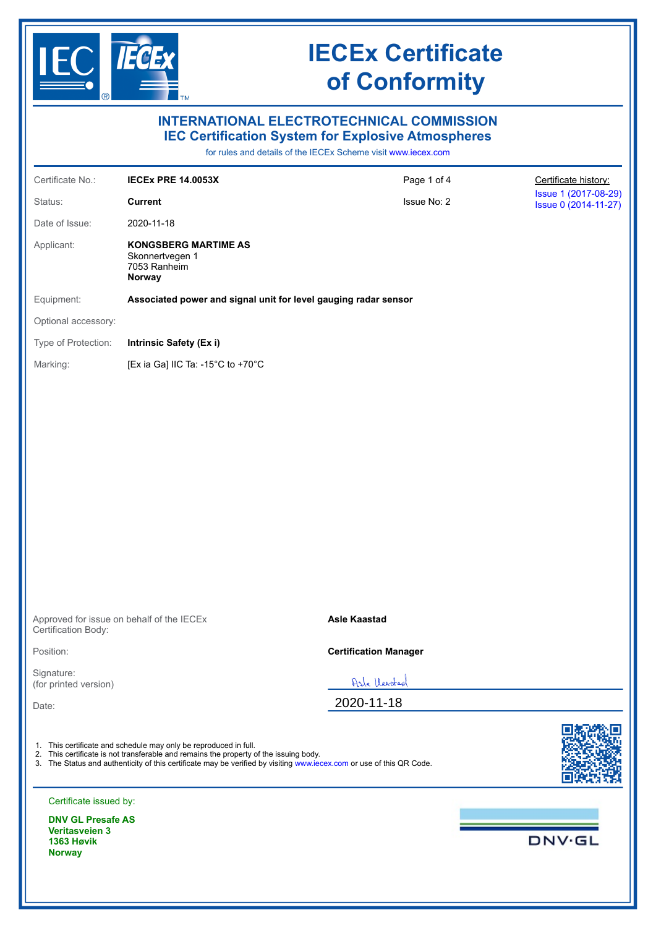

**Norway**

# **IECEx Certificate of Conformity**

| <b>INTERNATIONAL ELECTROTECHNICAL COMMISSION</b><br><b>IEC Certification System for Explosive Atmospheres</b><br>for rules and details of the IECEx Scheme visit www.iecex.com |                                                                                                                                                                                                                                                                                   |                              |                      |  |  |  |
|--------------------------------------------------------------------------------------------------------------------------------------------------------------------------------|-----------------------------------------------------------------------------------------------------------------------------------------------------------------------------------------------------------------------------------------------------------------------------------|------------------------------|----------------------|--|--|--|
| Certificate No.:                                                                                                                                                               | <b>IECEX PRE 14.0053X</b>                                                                                                                                                                                                                                                         | Page 1 of 4                  | Certificate history: |  |  |  |
| Status:                                                                                                                                                                        | <b>Current</b>                                                                                                                                                                                                                                                                    | Issue No: 2                  | Issue 1 (2017-08-29) |  |  |  |
| Date of Issue:                                                                                                                                                                 | 2020-11-18                                                                                                                                                                                                                                                                        |                              | Issue 0 (2014-11-27) |  |  |  |
| Applicant:                                                                                                                                                                     | <b>KONGSBERG MARTIME AS</b><br>Skonnertvegen 1<br>7053 Ranheim<br>Norway                                                                                                                                                                                                          |                              |                      |  |  |  |
| Equipment:                                                                                                                                                                     | Associated power and signal unit for level gauging radar sensor                                                                                                                                                                                                                   |                              |                      |  |  |  |
| Optional accessory:                                                                                                                                                            |                                                                                                                                                                                                                                                                                   |                              |                      |  |  |  |
| Type of Protection:                                                                                                                                                            | <b>Intrinsic Safety (Ex i)</b>                                                                                                                                                                                                                                                    |                              |                      |  |  |  |
| Marking:                                                                                                                                                                       | [Ex ia Ga] IIC Ta: -15°C to +70°C                                                                                                                                                                                                                                                 |                              |                      |  |  |  |
|                                                                                                                                                                                |                                                                                                                                                                                                                                                                                   |                              |                      |  |  |  |
| Certification Body:                                                                                                                                                            | Approved for issue on behalf of the IECEx                                                                                                                                                                                                                                         | <b>Asle Kaastad</b>          |                      |  |  |  |
| Position:                                                                                                                                                                      |                                                                                                                                                                                                                                                                                   | <b>Certification Manager</b> |                      |  |  |  |
| Signature:<br>(for printed version)                                                                                                                                            |                                                                                                                                                                                                                                                                                   | Asle Varstad                 |                      |  |  |  |
| Date:                                                                                                                                                                          |                                                                                                                                                                                                                                                                                   | 2020-11-18                   |                      |  |  |  |
|                                                                                                                                                                                | 1. This certificate and schedule may only be reproduced in full.<br>2. This certificate is not transferable and remains the property of the issuing body.<br>3. The Status and authenticity of this certificate may be verified by visiting www.iecex.com or use of this QR Code. |                              |                      |  |  |  |
| Certificate issued by:                                                                                                                                                         |                                                                                                                                                                                                                                                                                   |                              |                      |  |  |  |
| <b>DNV GL Presafe AS</b><br><b>Veritasveien 3</b><br>1363 Høvik                                                                                                                |                                                                                                                                                                                                                                                                                   |                              | <b>DNV·GL</b>        |  |  |  |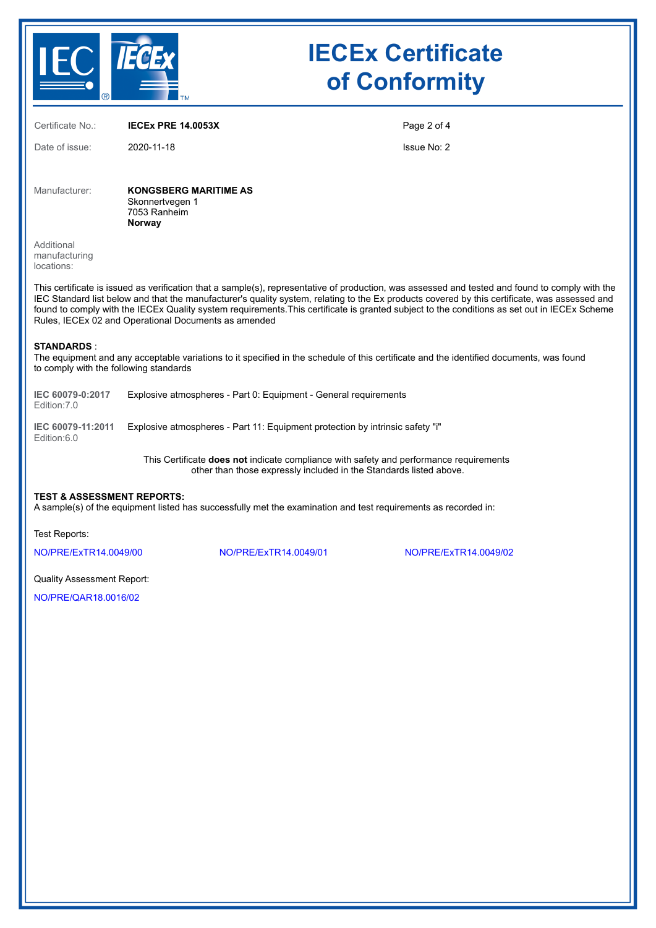

## **IECEx Certificate of Conformity**

Certificate No.: **IECEx PRE 14.0053X**

Date of issue: 2020-11-18

Page 2 of 4

Issue No: 2

Manufacturer: **KONGSBERG MARITIME AS** Skonnertvegen 1 7053 Ranheim **Norway**

Additional manufacturing locations:

This certificate is issued as verification that a sample(s), representative of production, was assessed and tested and found to comply with the IEC Standard list below and that the manufacturer's quality system, relating to the Ex products covered by this certificate, was assessed and found to comply with the IECEx Quality system requirements.This certificate is granted subject to the conditions as set out in IECEx Scheme Rules, IECEx 02 and Operational Documents as amended

#### **STANDARDS** :

The equipment and any acceptable variations to it specified in the schedule of this certificate and the identified documents, was found to comply with the following standards

| IEC 60079-0:2017 | Explosive atmospheres - Part 0: Equipment - General requirements |
|------------------|------------------------------------------------------------------|
| Edition: 7.0     |                                                                  |

**IEC 60079-11:2011** Explosive atmospheres - Part 11: Equipment protection by intrinsic safety "i" Edition:6.0

> This Certificate **does not** indicate compliance with safety and performance requirements other than those expressly included in the Standards listed above.

### **TEST & ASSESSMENT REPORTS:**

A sample(s) of the equipment listed has successfully met the examination and test requirements as recorded in:

Test Reports:

[NO/PRE/ExTR14.0049/00](https://www.iecex-certs.com/deliverables/REPORT/33732/view) [NO/PRE/ExTR14.0049/01](https://www.iecex-certs.com/deliverables/REPORT/33753/view) [NO/PRE/ExTR14.0049/02](https://www.iecex-certs.com/deliverables/REPORT/69149/view)

Quality Assessment Report:

[NO/PRE/QAR18.0016/02](https://www.iecex-certs.com/deliverables/REPORT/66504/view)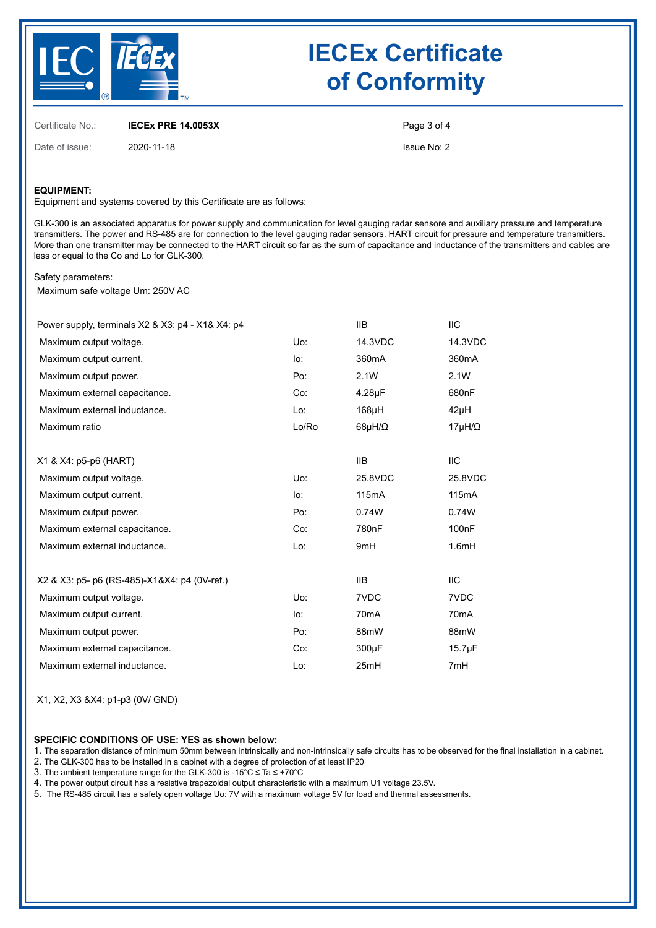

## **IECEx Certificate of Conformity**

Certificate No.: **IECEx PRE 14.0053X**

Date of issue: 2020-11-18

Page 3 of 4

Issue No: 2

### **EQUIPMENT:**

Equipment and systems covered by this Certificate are as follows:

GLK-300 is an associated apparatus for power supply and communication for level gauging radar sensore and auxiliary pressure and temperature transmitters. The power and RS-485 are for connection to the level gauging radar sensors. HART circuit for pressure and temperature transmitters. More than one transmitter may be connected to the HART circuit so far as the sum of capacitance and inductance of the transmitters and cables are less or equal to the Co and Lo for GLK-300.

#### Safety parameters:

Maximum safe voltage Um: 250V AC

| Power supply, terminals X2 & X3: p4 - X1& X4: p4 |       | 11B                | <b>IIC</b>         |
|--------------------------------------------------|-------|--------------------|--------------------|
| Maximum output voltage.                          | Uo:   | 14.3VDC            | 14.3VDC            |
| Maximum output current.                          | lo:   | 360 <sub>m</sub> A | 360 <sub>m</sub> A |
| Maximum output power.                            | Po:   | 2.1W               | 2.1W               |
| Maximum external capacitance.                    | Co:   | 4.28µF             | 680nF              |
| Maximum external inductance.                     | Lo:   | $168\mu H$         | $42\mu H$          |
| Maximum ratio                                    | Lo/Ro | 68µH/ $\Omega$     | $17\mu H/\Omega$   |
|                                                  |       |                    |                    |
| X1 & X4: p5-p6 (HART)                            |       | <b>IIB</b>         | <b>IIC</b>         |
| Maximum output voltage.                          | Uo:   | 25.8VDC            | 25.8VDC            |
| Maximum output current.                          | lo:   | 115mA              | 115 <sub>m</sub> A |
| Maximum output power.                            | Po:   | 0.74W              | 0.74W              |
| Maximum external capacitance.                    | Co:   | 780 <sub>n</sub> F | 100 <sub>n</sub> F |
| Maximum external inductance.                     | Lo:   | 9mH                | 1.6mH              |
|                                                  |       |                    |                    |
| X2 & X3: p5- p6 (RS-485)-X1&X4: p4 (0V-ref.)     |       | <b>IIB</b>         | <b>IIC</b>         |
| Maximum output voltage.                          | Uo:   | 7VDC               | 7VDC               |
| Maximum output current.                          | lo:   | 70 <sub>m</sub> A  | 70 <sub>m</sub> A  |
| Maximum output power.                            | Po:   | 88mW               | 88mW               |
| Maximum external capacitance.                    | Co:   | 300µF              | $15.7\mu F$        |
| Maximum external inductance.                     | Lo:   | 25mH               | 7mH                |

X1, X2, X3 &X4: p1-p3 (0V/ GND)

#### **SPECIFIC CONDITIONS OF USE: YES as shown below:**

1. The separation distance of minimum 50mm between intrinsically and non-intrinsically safe circuits has to be observed for the final installation in a cabinet.

2. The GLK-300 has to be installed in a cabinet with a degree of protection of at least IP20

3. The ambient temperature range for the GLK-300 is -15°C ≤ Ta ≤ +70°C

4. The power output circuit has a resistive trapezoidal output characteristic with a maximum U1 voltage 23.5V.

5. The RS-485 circuit has a safety open voltage Uo: 7V with a maximum voltage 5V for load and thermal assessments.